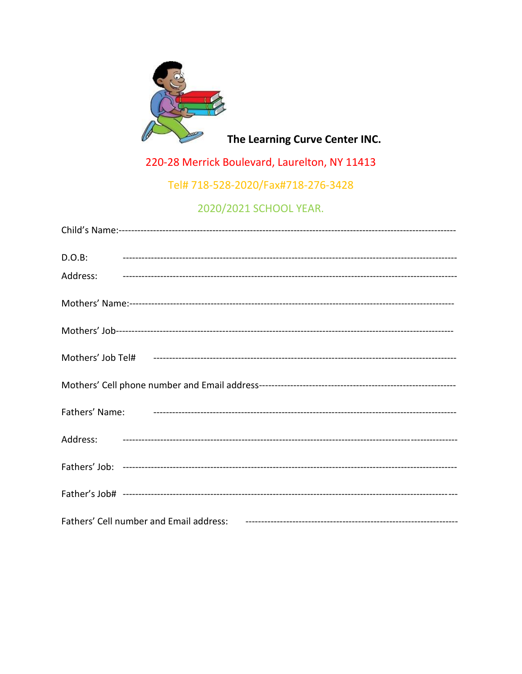

The Learning Curve Center INC.

220-28 Merrick Boulevard, Laurelton, NY 11413

Tel# 718-528-2020/Fax#718-276-3428

2020/2021 SCHOOL YEAR.

| $D.O.B$ :                                                                                                                       |
|---------------------------------------------------------------------------------------------------------------------------------|
|                                                                                                                                 |
|                                                                                                                                 |
|                                                                                                                                 |
|                                                                                                                                 |
|                                                                                                                                 |
|                                                                                                                                 |
|                                                                                                                                 |
|                                                                                                                                 |
|                                                                                                                                 |
| Fathers' Cell number and Email address: Fatherman and the contract of the mail of the state of the Fatherman and Email address: |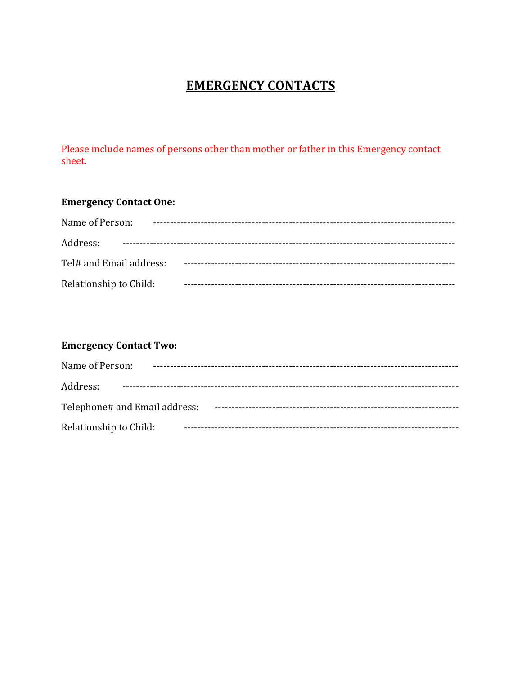# **EMERGENCY CONTACTS**

Please include names of persons other than mother or father in this Emergency contact sheet.

### **Emergency Contact One:**

| Name of Person:         |  |
|-------------------------|--|
| Address:                |  |
| Tel# and Email address: |  |
| Relationship to Child:  |  |

#### **Emergency Contact Two:**

| Name of Person:               |  |
|-------------------------------|--|
| Address:                      |  |
| Telephone# and Email address: |  |
| Relationship to Child:        |  |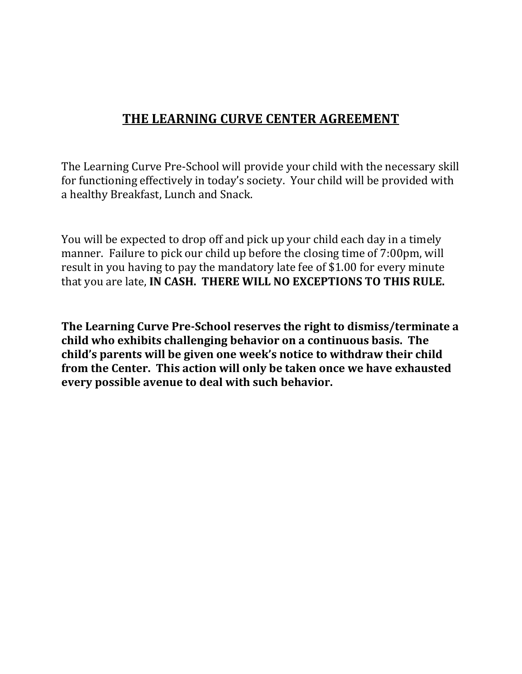## **THE LEARNING CURVE CENTER AGREEMENT**

The Learning Curve Pre-School will provide your child with the necessary skill for functioning effectively in today's society. Your child will be provided with a healthy Breakfast, Lunch and Snack.

You will be expected to drop off and pick up your child each day in a timely manner. Failure to pick our child up before the closing time of 7:00pm, will result in you having to pay the mandatory late fee of \$1.00 for every minute that you are late, **IN CASH. THERE WILL NO EXCEPTIONS TO THIS RULE.**

**The Learning Curve Pre-School reserves the right to dismiss/terminate a child who exhibits challenging behavior on a continuous basis. The child's parents will be given one week's notice to withdraw their child from the Center. This action will only be taken once we have exhausted every possible avenue to deal with such behavior.**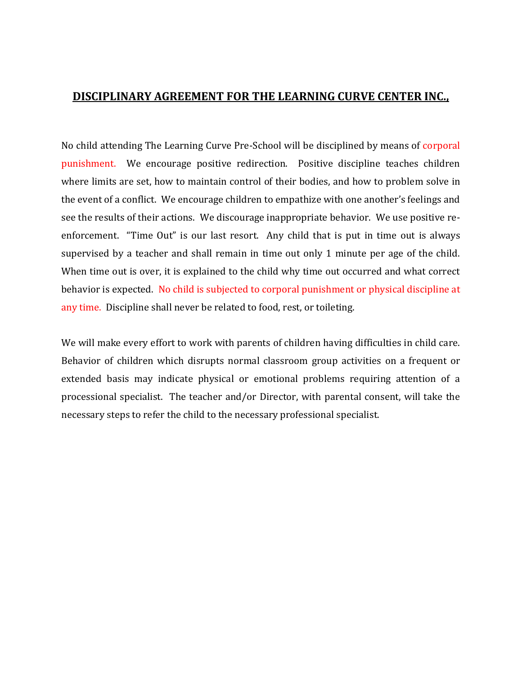#### **DISCIPLINARY AGREEMENT FOR THE LEARNING CURVE CENTER INC.,**

No child attending The Learning Curve Pre-School will be disciplined by means of corporal punishment. We encourage positive redirection. Positive discipline teaches children where limits are set, how to maintain control of their bodies, and how to problem solve in the event of a conflict. We encourage children to empathize with one another's feelings and see the results of their actions. We discourage inappropriate behavior. We use positive reenforcement. "Time Out" is our last resort. Any child that is put in time out is always supervised by a teacher and shall remain in time out only 1 minute per age of the child. When time out is over, it is explained to the child why time out occurred and what correct behavior is expected. No child is subjected to corporal punishment or physical discipline at any time. Discipline shall never be related to food, rest, or toileting.

We will make every effort to work with parents of children having difficulties in child care. Behavior of children which disrupts normal classroom group activities on a frequent or extended basis may indicate physical or emotional problems requiring attention of a processional specialist. The teacher and/or Director, with parental consent, will take the necessary steps to refer the child to the necessary professional specialist.